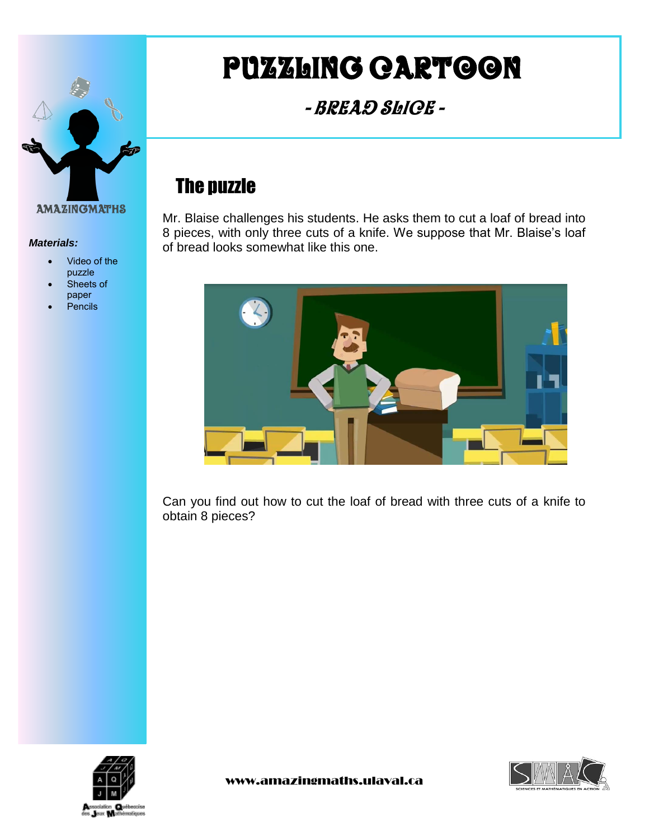

#### *Materials:*

- Video of the puzzle
- Sheets of paper
- Pencils

# Puzzling cartoon

- Bread Slice -

## The puzzle

Mr. Blaise challenges his students. He asks them to cut a loaf of bread into 8 pieces, with only three cuts of a knife. We suppose that Mr. Blaise's loaf of bread looks somewhat like this one.



Can you find out how to cut the loaf of bread with three cuts of a knife to obtain 8 pieces?



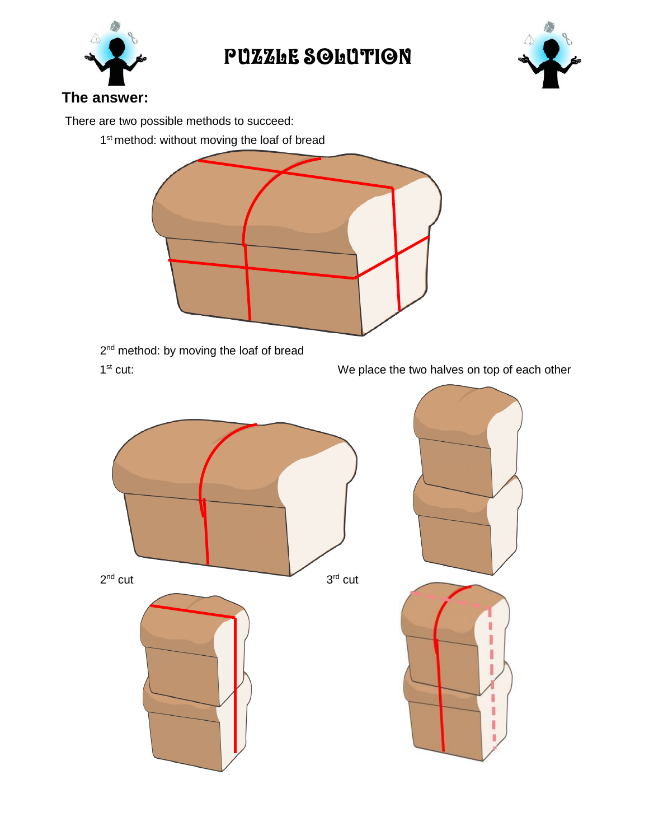

# PUZZLE SOLUTION



### **The answer:**

There are two possible methods to succeed:

1<sup>st</sup> method: without moving the loaf of bread



2<sup>nd</sup> method: by moving the loaf of bread  $1<sup>st</sup>$  cut:

We place the two halves on top of each other

I